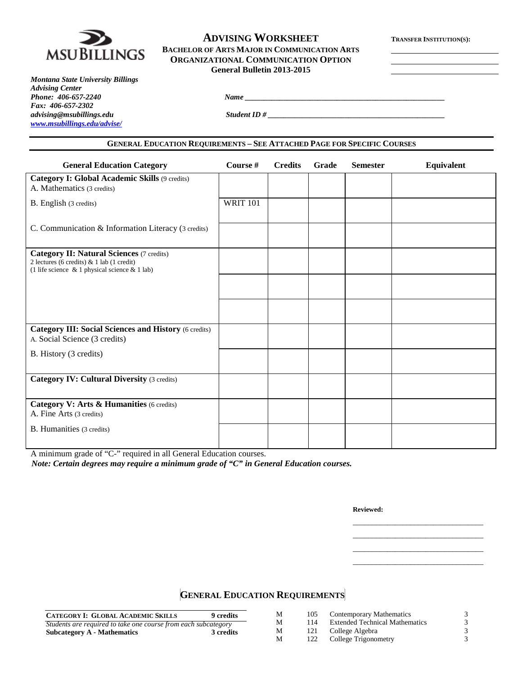

## **ADVISING WORKSHEET TRANSFER INSTITUTION(S): BACHELOR OF ARTS MAJOR IN COMMUNICATION ARTS ORGANIZATIONAL COMMUNICATION OPTION General Bulletin 2013-2015**

*Montana State University Billings Advising Center Phone: 406-657-2240 Name \_\_\_\_\_\_\_\_\_\_\_\_\_\_\_\_\_\_\_\_\_\_\_\_\_\_\_\_\_\_\_\_\_\_\_\_\_\_\_\_\_\_\_\_\_\_\_\_\_\_\_\_ Fax: 406-657-2302 [www.msubillings.edu/advise/](http://www.msubillings.edu/advise/)*

*advising@msubillings.edu Student ID # \_\_\_\_\_\_\_\_\_\_\_\_\_\_\_\_\_\_\_\_\_\_\_\_\_\_\_\_\_\_\_\_\_\_\_\_\_\_\_\_\_\_\_\_\_\_*

### **GENERAL EDUCATION REQUIREMENTS – SEE ATTACHED PAGE FOR SPECIFIC COURSES**

| <b>General Education Category</b>                                                                                                                      | Course #        | <b>Credits</b> | <b>Grade</b> | <b>Semester</b> | Equivalent |
|--------------------------------------------------------------------------------------------------------------------------------------------------------|-----------------|----------------|--------------|-----------------|------------|
| <b>Category I: Global Academic Skills (9 credits)</b><br>A. Mathematics (3 credits)                                                                    |                 |                |              |                 |            |
| B. English (3 credits)                                                                                                                                 | <b>WRIT 101</b> |                |              |                 |            |
| C. Communication & Information Literacy (3 credits)                                                                                                    |                 |                |              |                 |            |
| <b>Category II: Natural Sciences (7 credits)</b><br>2 lectures (6 credits) $& 1$ lab (1 credit)<br>(1 life science $\&$ 1 physical science $\&$ 1 lab) |                 |                |              |                 |            |
|                                                                                                                                                        |                 |                |              |                 |            |
|                                                                                                                                                        |                 |                |              |                 |            |
| <b>Category III: Social Sciences and History (6 credits)</b><br>A. Social Science (3 credits)                                                          |                 |                |              |                 |            |
| B. History (3 credits)                                                                                                                                 |                 |                |              |                 |            |
| <b>Category IV: Cultural Diversity (3 credits)</b>                                                                                                     |                 |                |              |                 |            |
| Category V: Arts & Humanities (6 credits)<br>A. Fine Arts (3 credits)                                                                                  |                 |                |              |                 |            |
| B. Humanities (3 credits)                                                                                                                              |                 |                |              |                 |            |

A minimum grade of "C-" required in all General Education courses.

*Note: Certain degrees may require a minimum grade of "C" in General Education courses.*

**Reviewed:**

\_\_\_\_\_\_\_\_\_\_\_\_\_\_\_\_\_\_\_\_\_\_\_\_\_\_\_\_\_\_\_\_\_\_ \_\_\_\_\_\_\_\_\_\_\_\_\_\_\_\_\_\_\_\_\_\_\_\_\_\_\_\_\_\_\_\_\_\_ \_\_\_\_\_\_\_\_\_\_\_\_\_\_\_\_\_\_\_\_\_\_\_\_\_\_\_\_\_\_\_\_\_\_ \_\_\_\_\_\_\_\_\_\_\_\_\_\_\_\_\_\_\_\_\_\_\_\_\_\_\_\_\_\_\_\_\_\_

**GENERAL EDUCATION REQUIREMENTS**

| <b>CATEGORY I: GLOBAL ACADEMIC SKILLS</b>                      | 9 credits | М | 105 | <b>Contemporary Mathematics</b>       |  |
|----------------------------------------------------------------|-----------|---|-----|---------------------------------------|--|
| Students are required to take one course from each subcategory |           | М | 114 | <b>Extended Technical Mathematics</b> |  |
| Subcategory A - Mathematics                                    | 3 credits | М | 121 | College Algebra                       |  |
|                                                                |           | М | 122 | College Trigonometry                  |  |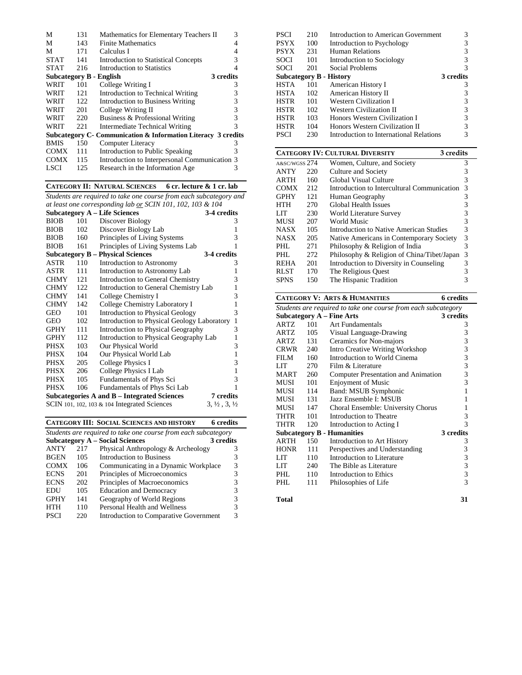| М                       | 131 | Mathematics for Elementary Teachers II                         | 3 |
|-------------------------|-----|----------------------------------------------------------------|---|
| М                       | 143 | <b>Finite Mathematics</b>                                      |   |
| М                       | 171 | Calculus I                                                     |   |
| <b>STAT</b>             | 141 | Introduction to Statistical Concepts                           | 3 |
| <b>STAT</b>             | 216 | Introduction to Statistics                                     |   |
| Subcategory B - English |     | 3 credits                                                      |   |
| WRIT                    | 101 | College Writing I                                              | 3 |
| WRIT                    | 121 | Introduction to Technical Writing                              | 3 |
| WRIT                    | 122 | Introduction to Business Writing                               | 3 |
| WRIT                    | 201 | College Writing II                                             | 3 |
| WRIT                    | 220 | Business & Professional Writing                                | 3 |
| WRIT                    | 221 | Intermediate Technical Writing                                 | 3 |
|                         |     | Subcategory C - Communication & Information Literacy 3 credits |   |
| <b>BMIS</b>             | 150 | Computer Literacy                                              | 3 |
| <b>COMX</b>             | 111 | Introduction to Public Speaking                                | 3 |
| <b>COMX</b>             | 115 | Introduction to Interpersonal Communication 3                  |   |
| LSCI                    | 125 | Research in the Information Age                                | 3 |
|                         |     |                                                                |   |

#### **CATEGORY II: NATURAL SCIENCES 6 cr. lecture & 1 cr. lab**

*Students are required to take one course from each subcategory and at least one corresponding lab or SCIN 101, 102, 103 & 104*

|             |     | <b>Subcategory A – Life Sciences</b>            | 3-4 credits                      |
|-------------|-----|-------------------------------------------------|----------------------------------|
| <b>BIOB</b> | 101 | Discover Biology                                | 3                                |
| <b>BIOB</b> | 102 | Discover Biology Lab                            | 1                                |
| <b>BIOB</b> | 160 | Principles of Living Systems                    | 3                                |
| <b>BIOB</b> | 161 | Principles of Living Systems Lab                | 1                                |
|             |     | <b>Subcategory B – Physical Sciences</b>        | 3-4 credits                      |
| ASTR        | 110 | Introduction to Astronomy                       | 3                                |
| ASTR        | 111 | Introduction to Astronomy Lab                   | 1                                |
| <b>CHMY</b> | 121 | Introduction to General Chemistry               | 3                                |
| <b>CHMY</b> | 122 | Introduction to General Chemistry Lab           | 1                                |
| <b>CHMY</b> | 141 | College Chemistry I                             | 3                                |
| <b>CHMY</b> | 142 | College Chemistry Laboratory I                  | 1                                |
| GEO         | 101 | Introduction to Physical Geology                | 3                                |
| GEO         | 102 | Introduction to Physical Geology Laboratory     | $\mathbf{1}$                     |
| <b>GPHY</b> | 111 | Introduction to Physical Geography              | 3                                |
| <b>GPHY</b> | 112 | Introduction to Physical Geography Lab          | 1                                |
| PHSX        | 103 | Our Physical World                              | 3                                |
| PHSX        | 104 | Our Physical World Lab                          | 1                                |
| PHSX        | 205 | College Physics I                               | 3                                |
| PHSX        | 206 | College Physics I Lab                           | $\mathbf{1}$                     |
| PHSX        | 105 | Fundamentals of Phys Sci                        | 3                                |
| <b>PHSX</b> | 106 | Fundamentals of Phys Sci Lab                    | 1                                |
|             |     | Subcategories A and B – Integrated Sciences     | 7 credits                        |
|             |     | SCIN 101, 102, 103 $\&$ 104 Integrated Sciences | $3, \frac{1}{2}, 3, \frac{1}{2}$ |

# **CATEGORY III: SOCIAL SCIENCES AND HISTORY 6 credits**

| Students are required to take one course from each subcategory |     |                                        |               |  |  |  |
|----------------------------------------------------------------|-----|----------------------------------------|---------------|--|--|--|
| <b>Subcategory A – Social Sciences</b><br>3 credits            |     |                                        |               |  |  |  |
| <b>ANTY</b>                                                    | 217 | Physical Anthropology & Archeology     |               |  |  |  |
| <b>BGEN</b>                                                    | 105 | Introduction to Business               | 3             |  |  |  |
| <b>COMX</b>                                                    | 106 | Communicating in a Dynamic Workplace   | 3             |  |  |  |
| <b>ECNS</b>                                                    | 201 | Principles of Microeconomics           | 3             |  |  |  |
| <b>ECNS</b>                                                    | 202 | Principles of Macroeconomics           | 3             |  |  |  |
| EDU                                                            | 105 | <b>Education and Democracy</b>         | 3             |  |  |  |
| <b>GPHY</b>                                                    | 141 | Geography of World Regions             | 3             |  |  |  |
| HTH                                                            | 110 | Personal Health and Wellness           | 3             |  |  |  |
| <b>PSCI</b>                                                    | 220 | Introduction to Comparative Government | $\mathcal{R}$ |  |  |  |

| <b>PSCI</b>             | 210 | Introduction to American Government     | 3         |
|-------------------------|-----|-----------------------------------------|-----------|
| <b>PSYX</b>             | 100 | Introduction to Psychology              | 3         |
| <b>PSYX</b>             | 231 | <b>Human Relations</b>                  | 3         |
| SOCI                    | 101 | Introduction to Sociology               | 3         |
| SOCI                    | 201 | Social Problems                         | 3         |
| Subcategory B - History |     |                                         | 3 credits |
| <b>HSTA</b>             | 101 | American History I                      | 3         |
| <b>HSTA</b>             | 102 | American History II                     |           |
| <b>HSTR</b>             | 101 | <b>Western Civilization I</b>           | 3         |
| <b>HSTR</b>             | 102 | Western Civilization II                 | 3         |
| <b>HSTR</b>             | 103 | Honors Western Civilization I           | 3         |
| <b>HSTR</b>             | 104 | Honors Western Civilization II          |           |
| PSCI                    | 230 | Introduction to International Relations | 3         |

#### **CATEGORY IV: CULTURAL DIVERSITY 3 credits** A&SC/WGSS 274 Women, Culture, and Society 3<br>ANTY 220 Culture and Society 3 Culture and Society ARTH 160 Global Visual Culture 3 COMX 212 Introduction to Intercultural Communication 3 Human Geography HTH 270 Global Health Issues 3 LIT 230 World Literature Survey 3<br>MUSI 207 World Music 3 MUSI 207 World Music<br>NASX 105 Introduction to Native American Studies 3 Introduction to Native American Studies 3<br>Native Americans in Contemporary Society 3 NASX 205 Native Americans in Contemporary Society<br>PHL 271 Philosophy & Religion of India PHL 271 Philosophy & Religion of India 3<br>PHL 272 Philosophy & Religion of China/Tibet/Japan 3 PHL 272 Philosophy & Religion of China/Tibet/Japan 3<br>REHA 201 Introduction to Diversity in Counseling 3 REHA 201 Introduction to Diversity in Counseling 3<br>RLST 170 The Religious Quest 3 RLST 170 The Religious Quest 3<br>SPNS 150 The Hispanic Tradition 3 The Hispanic Tradition

### **CATEGORY V: ARTS & HUMANITIES 6 credits**

| Students are required to take one course from each subcategory |     |                                     |           |  |  |  |
|----------------------------------------------------------------|-----|-------------------------------------|-----------|--|--|--|
|                                                                |     | <b>Subcategory A - Fine Arts</b>    | 3 credits |  |  |  |
| ARTZ                                                           | 101 | <b>Art Fundamentals</b>             | 3         |  |  |  |
| ARTZ                                                           | 105 | Visual Language-Drawing             | 3         |  |  |  |
| ARTZ                                                           | 131 | Ceramics for Non-majors             | 3         |  |  |  |
| <b>CRWR</b>                                                    | 240 | Intro Creative Writing Workshop     | 3         |  |  |  |
| FII M                                                          | 160 | Introduction to World Cinema        | 3         |  |  |  |
| LIT                                                            | 270 | Film & Literature                   | 3         |  |  |  |
| MART.                                                          | 260 | Computer Presentation and Animation | 3         |  |  |  |
| MUSI                                                           | 101 | <b>Enjoyment of Music</b>           | 3         |  |  |  |
| MUSI                                                           | 114 | Band: MSUB Symphonic                | 1         |  |  |  |
| MUSI                                                           | 131 | Jazz Ensemble I: MSUB               | 1         |  |  |  |
| MUSI                                                           | 147 | Choral Ensemble: University Chorus  | 1         |  |  |  |
| THTR                                                           | 101 | Introduction to Theatre             | 3         |  |  |  |
| <b>THTR</b>                                                    | 120 | Introduction to Acting I            | 3         |  |  |  |
|                                                                |     | <b>Subcategory B - Humanities</b>   | 3 credits |  |  |  |
| <b>ARTH</b>                                                    | 150 | Introduction to Art History         | 3         |  |  |  |
| <b>HONR</b>                                                    | 111 | Perspectives and Understanding      | 3         |  |  |  |
| <b>LIT</b>                                                     | 110 | Introduction to Literature          | 3         |  |  |  |
| LIT                                                            | 240 | The Bible as Literature             | 3         |  |  |  |
| PHL                                                            | 110 | Introduction to Ethics              | 3         |  |  |  |
| PHL                                                            | 111 | Philosophies of Life                | 3         |  |  |  |
| <b>Total</b>                                                   |     |                                     | 31        |  |  |  |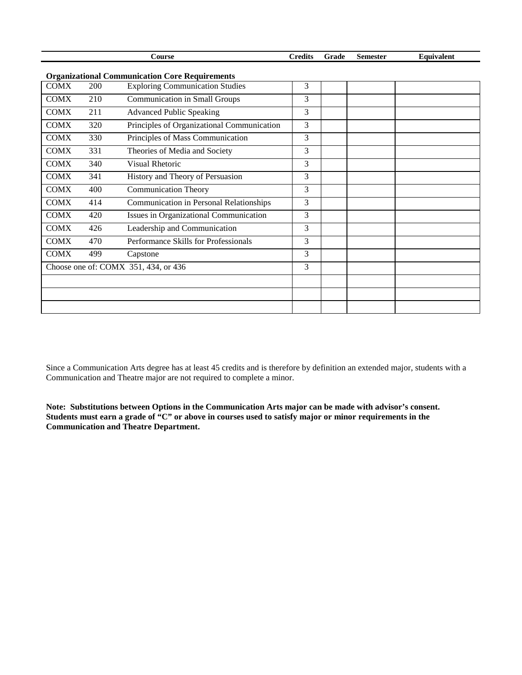|                                                       |     | Course                                     | <b>Credits</b> | Grade | <b>Semester</b> | Equivalent |
|-------------------------------------------------------|-----|--------------------------------------------|----------------|-------|-----------------|------------|
| <b>Organizational Communication Core Requirements</b> |     |                                            |                |       |                 |            |
| <b>COMX</b>                                           | 200 | <b>Exploring Communication Studies</b>     | 3              |       |                 |            |
| <b>COMX</b>                                           | 210 | <b>Communication in Small Groups</b>       | 3              |       |                 |            |
| <b>COMX</b>                                           | 211 | <b>Advanced Public Speaking</b>            | 3              |       |                 |            |
| <b>COMX</b>                                           | 320 | Principles of Organizational Communication | 3              |       |                 |            |
| <b>COMX</b>                                           | 330 | Principles of Mass Communication           | 3              |       |                 |            |
| <b>COMX</b>                                           | 331 | Theories of Media and Society              | 3              |       |                 |            |
| <b>COMX</b>                                           | 340 | <b>Visual Rhetoric</b>                     | 3              |       |                 |            |
| <b>COMX</b>                                           | 341 | History and Theory of Persuasion           | 3              |       |                 |            |
| <b>COMX</b>                                           | 400 | <b>Communication Theory</b>                | 3              |       |                 |            |
| <b>COMX</b>                                           | 414 | Communication in Personal Relationships    | 3              |       |                 |            |
| <b>COMX</b>                                           | 420 | Issues in Organizational Communication     | 3              |       |                 |            |
| <b>COMX</b>                                           | 426 | Leadership and Communication               | 3              |       |                 |            |
| <b>COMX</b>                                           | 470 | Performance Skills for Professionals       | 3              |       |                 |            |
| <b>COMX</b>                                           | 499 | Capstone                                   | 3              |       |                 |            |
|                                                       |     | Choose one of: COMX 351, 434, or 436       | 3              |       |                 |            |
|                                                       |     |                                            |                |       |                 |            |
|                                                       |     |                                            |                |       |                 |            |
|                                                       |     |                                            |                |       |                 |            |

Since a Communication Arts degree has at least 45 credits and is therefore by definition an extended major, students with a Communication and Theatre major are not required to complete a minor.

**Note: Substitutions between Options in the Communication Arts major can be made with advisor's consent. Students must earn a grade of "C" or above in courses used to satisfy major or minor requirements in the Communication and Theatre Department.**